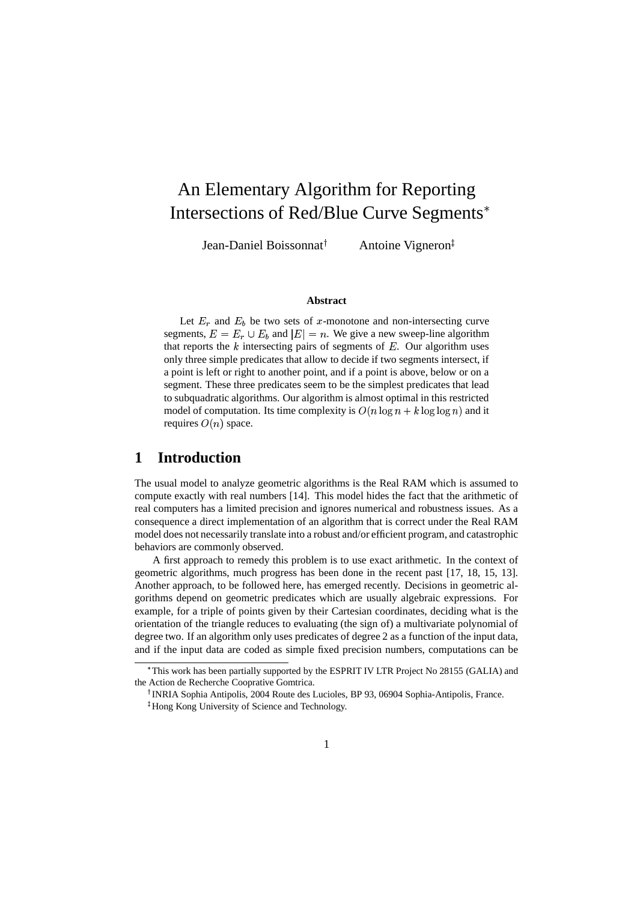# An Elementary Algorithm for Reporting Intersections of Red/Blue Curve Segments

Jean-Daniel Boissonnat

Antoine Vigneron<sup>‡</sup>

#### **Abstract**

Let  $E_r$  and  $E_b$  be two sets of x-monotone and non-intersecting curve segments,  $E = E_r \cup E_b$  and  $|E| = n$ . We give a new sweep-line algorithm that reports the  $k$  intersecting pairs of segments of  $E$ . Our algorithm uses only three simple predicates that allow to decide if two segments intersect, if a point is left or right to another point, and if a point is above, below or on a segment. These three predicates seem to be the simplest predicates that lead to subquadratic algorithms. Our algorithm is almost optimal in this restricted model of computation. Its time complexity is  $O(n \log n + k \log \log n)$  and it requires  $O(n)$  space.

# **1 Introduction**

The usual model to analyze geometric algorithms is the Real RAM which is assumed to compute exactly with real numbers [14]. This model hides the fact that the arithmetic of real computers has a limited precision and ignores numerical and robustness issues. As a consequence a direct implementation of an algorithm that is correct under the Real RAM model does not necessarily translate into a robust and/or efficient program, and catastrophic behaviors are commonly observed.

A first approach to remedy this problem is to use exact arithmetic. In the context of geometric algorithms, much progress has been done in the recent past [17, 18, 15, 13]. Another approach, to be followed here, has emerged recently. Decisions in geometric algorithms depend on geometric predicates which are usually algebraic expressions. For example, for a triple of points given by their Cartesian coordinates, deciding what is the orientation of the triangle reduces to evaluating (the sign of) a multivariate polynomial of degree two. If an algorithm only uses predicates of degree 2 as a function of the input data, and if the input data are coded as simple fixed precision numbers, computations can be

<sup>(</sup> This work has been partially supported by the ESPRIT IV LTR Project No 28155 (GALIA) and the Action de Recherche Cooprative Gomtrica.

<sup>)</sup> INRIA Sophia Antipolis, 2004 Route des Lucioles, BP 93, 06904 Sophia-Antipolis, France.

<sup>\*</sup> Hong Kong University of Science and Technology.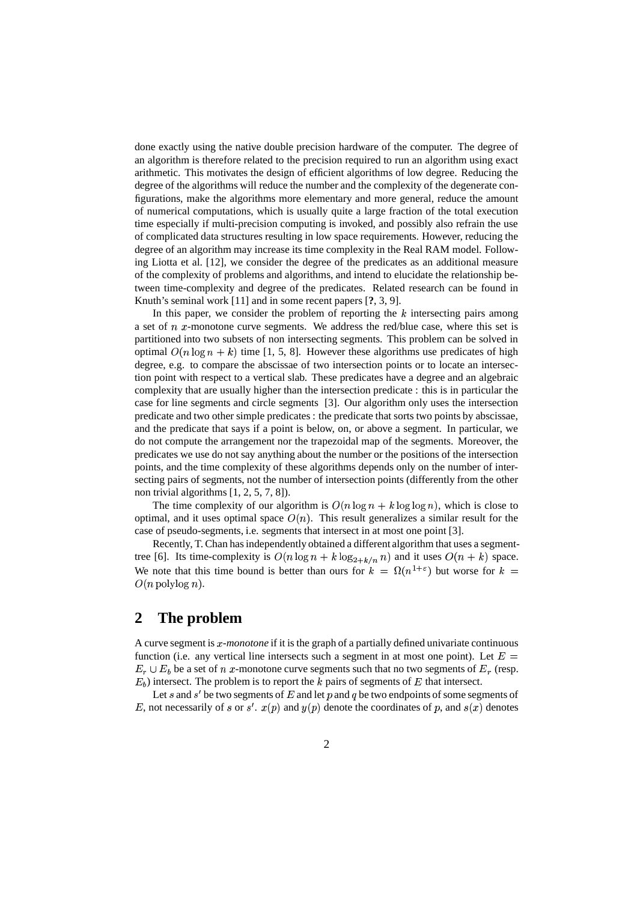done exactly using the native double precision hardware of the computer. The degree of an algorithm is therefore related to the precision required to run an algorithm using exact arithmetic. This motivates the design of efficient algorithms of low degree. Reducing the degree of the algorithms will reduce the number and the complexity of the degenerate configurations, make the algorithms more elementary and more general, reduce the amount of numerical computations, which is usually quite a large fraction of the total execution time especially if multi-precision computing is invoked, and possibly also refrain the use of complicated data structures resulting in low space requirements. However, reducing the degree of an algorithm may increase its time complexity in the Real RAM model. Following Liotta et al. [12], we consider the degree of the predicates as an additional measure of the complexity of problems and algorithms, and intend to elucidate the relationship between time-complexity and degree of the predicates. Related research can be found in Knuth's seminal work [11] and in some recent papers [**?**, 3, 9].

In this paper, we consider the problem of reporting the  $k$  intersecting pairs among a set of  $n$   $x$ -monotone curve segments. We address the red/blue case, where this set is partitioned into two subsets of non intersecting segments. This problem can be solved in optimal  $O(n \log n + k)$  time [1, 5, 8]. However these algorithms use predicates of high degree, e.g. to compare the abscissae of two intersection points or to locate an intersection point with respect to a vertical slab. These predicates have a degree and an algebraic complexity that are usually higher than the intersection predicate : this is in particular the case for line segments and circle segments [3]. Our algorithm only uses the intersection predicate and two other simple predicates : the predicate that sorts two points by abscissae, and the predicate that says if a point is below, on, or above a segment. In particular, we do not compute the arrangement nor the trapezoidal map of the segments. Moreover, the predicates we use do not say anything about the number or the positions of the intersection points, and the time complexity of these algorithms depends only on the number of intersecting pairs of segments, not the number of intersection points (differently from the other non trivial algorithms [1, 2, 5, 7, 8]).

The time complexity of our algorithm is  $O(n \log n + k \log \log n)$ , which is close to optimal, and it uses optimal space  $O(n)$ . This result generalizes a similar result for the case of pseudo-segments, i.e. segments that intersect in at most one point [3].

Recently, T. Chan has independently obtained a different algorithm that uses a segmenttree [6]. Its time-complexity is  $O(n \log n + k \log_{2+k/n} n)$  and it uses  $O(n+k)$  space. We note that this time bound is better than ours for  $k = \Omega(n^{1+\epsilon})$  but worse for  $k =$  $O(n \text{ polylog } n)$ .

### **2 The problem**

A curve segment is *x*-monotone if it is the graph of a partially defined univariate continuous function (i.e. any vertical line intersects such a segment in at most one point). Let  $E =$  $E_r \cup E_b$  be a set of *n* x-monotone curve segments such that no two segments of  $E_r$  (resp.  $E<sub>b</sub>$ ) intersect. The problem is to report the  $k$  pairs of segments of  $E$  that intersect.

Let s and  $s'$  be two segments of  $E$  and let  $p$  and  $q$  be two endpoints of some segments of E, not necessarily of s or  $s'$ .  $x(p)$  and  $y(p)$  denote the coordinates of p, and  $s(x)$  denotes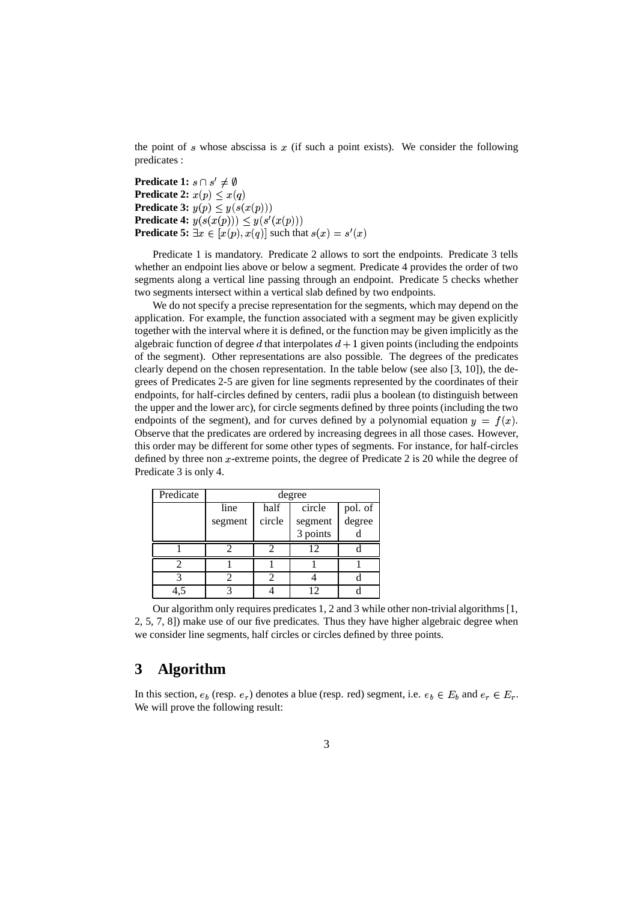the point of  $s$  whose abscissa is  $x$  (if such a point exists). We consider the following predicates :

**Predicate 1:**  $s \cap s' \neq \emptyset$ **Predicate 2:**  $x(p) \leq x(q)$ **Predicate 3:**  $y(p) \leq y(s(x(p)))$ **Predicate 4:**  $y(s(x(p))) \leq y(s'(x(p)))$ **Predicate 5:**  $\exists x \in [x(p), x(q)]$  such that  $s(x) = s'(x)$ 

Predicate 1 is mandatory. Predicate 2 allows to sort the endpoints. Predicate 3 tells whether an endpoint lies above or below a segment. Predicate 4 provides the order of two segments along a vertical line passing through an endpoint. Predicate 5 checks whether two segments intersect within a vertical slab defined by two endpoints.

We do not specify a precise representation for the segments, which may depend on the application. For example, the function associated with a segment may be given explicitly together with the interval where it is defined, or the function may be given implicitly as the algebraic function of degree d that interpolates  $d+1$  given points (including the endpoints of the segment). Other representations are also possible. The degrees of the predicates clearly depend on the chosen representation. In the table below (see also [3, 10]), the degrees of Predicates 2-5 are given for line segments represented by the coordinates of their endpoints, for half-circles defined by centers, radii plus a boolean (to distinguish between the upper and the lower arc), for circle segments defined by three points (including the two endpoints of the segment), and for curves defined by a polynomial equation  $y = f(x)$ . Observe that the predicates are ordered by increasing degrees in all those cases. However, this order may be different for some other types of segments. For instance, for half-circles defined by three non  $x$ -extreme points, the degree of Predicate 2 is 20 while the degree of Predicate 3 is only 4.

| Predicate | degree  |        |          |                   |
|-----------|---------|--------|----------|-------------------|
|           | line    | half   | circle   | pol. of<br>degree |
|           | segment | circle | segment  |                   |
|           |         |        | 3 points |                   |
|           |         |        | 12       |                   |
|           |         |        |          |                   |
|           |         |        |          |                   |
|           |         |        | 12       |                   |

Our algorithm only requires predicates 1, 2 and 3 while other non-trivial algorithms [1, 2, 5, 7, 8]) make use of our five predicates. Thus they have higher algebraic degree when we consider line segments, half circles or circles defined by three points.

# **3 Algorithm**

In this section,  $e_b$  (resp.  $e_r$ ) denotes a blue (resp. red) segment, i.e.  $e_b \in E_b$  and  $e_r \in E_r$ . We will prove the following result: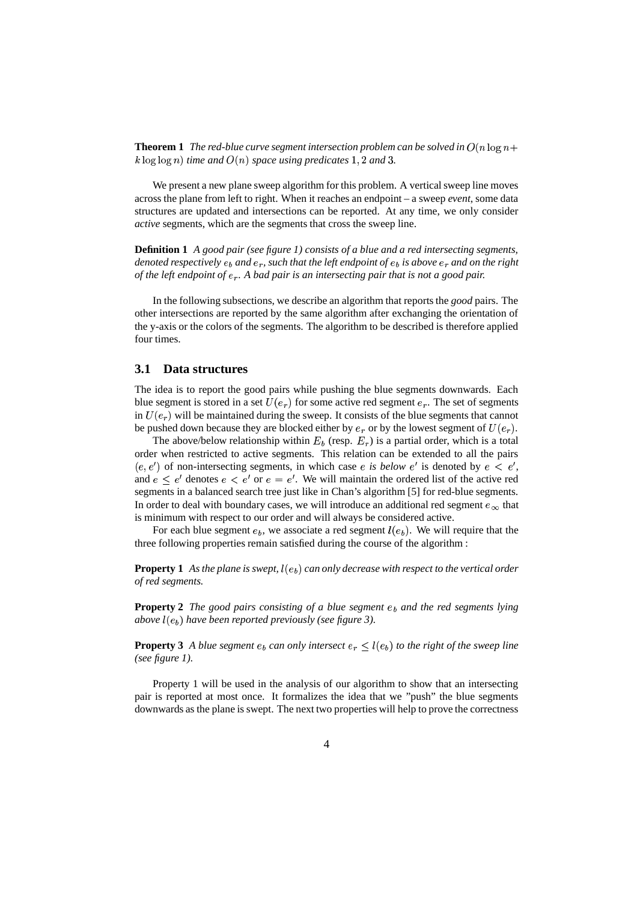**Theorem 1** The red-blue curve segment intersection problem can be solved in  $O(n \log n + \frac{1}{n})$  $k \log \log n$ ) time and  $O(n)$  space using predicates  $1, 2$  and  $3.$ 

We present a new plane sweep algorithm for this problem. A vertical sweep line moves across the plane from left to right. When it reaches an endpoint – a sweep *event*, some data structures are updated and intersections can be reported. At any time, we only consider *active* segments, which are the segments that cross the sweep line.

**Definition 1** *A good pair (see figure 1) consists of a blue and a red intersecting segments, denoted respectively*  $e_b$  *and*  $e_r$ , *such that the left endpoint of*  $e_b$  *is above*  $e_r$  *and on the right of the left endpoint of . A bad pair is an intersecting pair that is not a good pair.*

In the following subsections, we describe an algorithm that reports the *good* pairs. The other intersections are reported by the same algorithm after exchanging the orientation of the y-axis or the colors of the segments. The algorithm to be described is therefore applied four times.

#### **3.1 Data structures**

The idea is to report the good pairs while pushing the blue segments downwards. Each blue segment is stored in a set  $U(e_r)$  for some active red segment  $e_r$ . The set of segments in  $U(e_r)$  will be maintained during the sweep. It consists of the blue segments that cannot be pushed down because they are blocked either by  $e_r$  or by the lowest segment of  $U(e_r)$ .

The above/below relationship within  $E_b$  (resp.  $E_r$ ) is a partial order, which is a total order when restricted to active segments. This relation can be extended to all the pairs  $(e, e')$  of non-intersecting segments, in which case *e* is *below*  $e'$  is denoted by  $e < e'$ , and  $e \leq e'$  denotes  $e \leq e'$  or  $e = e'$ . We will maintain the ordered list of the active red segments in a balanced search tree just like in Chan's algorithm [5] for red-blue segments. In order to deal with boundary cases, we will introduce an additional red segment  $e_{\infty}$  that is minimum with respect to our order and will always be considered active.

For each blue segment  $e_b$ , we associate a red segment  $l(e_b)$ . We will require that the three following properties remain satisfied during the course of the algorithm :

**Property** 1 As the plane is swept,  $l(e_b)$  can only decrease with respect to the vertical order *of red segments.*

**Property 2** *The good pairs consisting of a blue segment and the red segments lying above*  $l(e_b)$  *have been reported previously (see figure 3).* 

**Property 3** A blue segment  $e_b$  can only intersect  $e_r \leq l(e_b)$  to the right of the sweep line *(see figure 1).*

Property 1 will be used in the analysis of our algorithm to show that an intersecting pair is reported at most once. It formalizes the idea that we "push" the blue segments downwards as the plane is swept. The next two properties will help to prove the correctness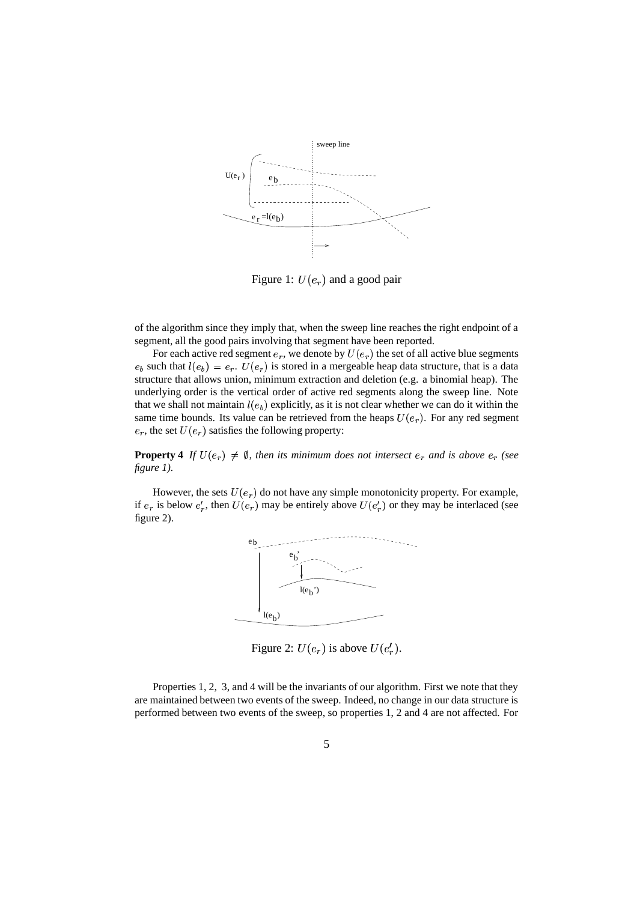

Figure 1:  $U(e_r)$  and a good pair

of the algorithm since they imply that, when the sweep line reaches the right endpoint of a segment, all the good pairs involving that segment have been reported.

For each active red segment  $e_r$ , we denote by  $U(e_r)$  the set of all active blue segments  $e_b$  such that  $l(e_b) = e_r$ .  $U(e_r)$  is stored in a mergeable heap data structure, that is a data structure that allows union, minimum extraction and deletion (e.g. a binomial heap). The underlying order is the vertical order of active red segments along the sweep line. Note that we shall not maintain  $l(e_b)$  explicitly, as it is not clear whether we can do it within the same time bounds. Its value can be retrieved from the heaps  $U(e_r)$ . For any red segment  $e_r$ , the set  $U(e_r)$  satisfies the following property:

**Property 4** If  $U(e_r) \neq \emptyset$ , then its minimum does not intersect  $e_r$  and is above  $e_r$  (see *figure 1).*

However, the sets  $U(e_r)$  do not have any simple monotonicity property. For example, if  $e_r$  is below  $e'_r$ , then  $U(e_r)$  may be entirely above  $U(e'_r)$  or they may be interlaced (see figure 2).



Figure 2:  $U(e_r)$  is above  $U(e'_r)$ .

Properties 1, 2, 3, and 4 will be the invariants of our algorithm. First we note that they are maintained between two events of the sweep. Indeed, no change in our data structure is performed between two events of the sweep, so properties 1, 2 and 4 are not affected. For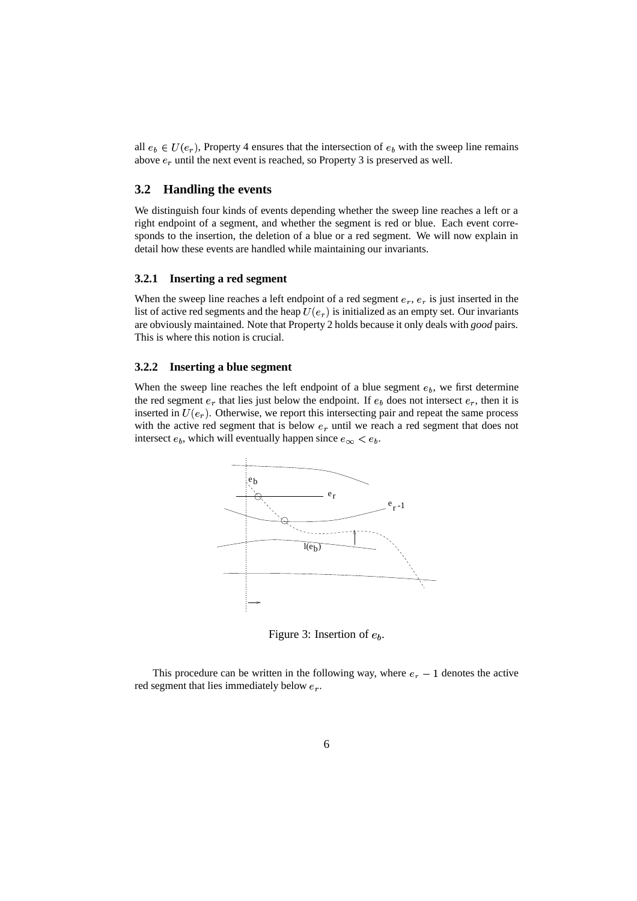all  $e_b \in U(e_r)$ , Property 4 ensures that the intersection of  $e_b$  with the sweep line remains above  $e_r$  until the next event is reached, so Property 3 is preserved as well.

#### **3.2 Handling the events**

We distinguish four kinds of events depending whether the sweep line reaches a left or a right endpoint of a segment, and whether the segment is red or blue. Each event corresponds to the insertion, the deletion of a blue or a red segment. We will now explain in detail how these events are handled while maintaining our invariants.

#### **3.2.1 Inserting a red segment**

When the sweep line reaches a left endpoint of a red segment  $e_r$ ,  $e_r$  is just inserted in the list of active red segments and the heap  $U(e_r)$  is initialized as an empty set. Our invariants are obviously maintained. Note that Property 2 holds because it only deals with *good* pairs. This is where this notion is crucial.

#### **3.2.2 Inserting a blue segment**

When the sweep line reaches the left endpoint of a blue segment  $e<sub>b</sub>$ , we first determine the red segment  $e_r$  that lies just below the endpoint. If  $e_b$  does not intersect  $e_r$ , then it is inserted in  $U(e_r)$ . Otherwise, we report this intersecting pair and repeat the same process with the active red segment that is below  $e_r$  until we reach a red segment that does not intersect  $e_b$ , which will eventually happen since  $e_{\infty} < e_b$ .



Figure 3: Insertion of  $e_b$ .

This procedure can be written in the following way, where  $e_r - 1$  denotes the active red segment that lies immediately below  $e_r$ .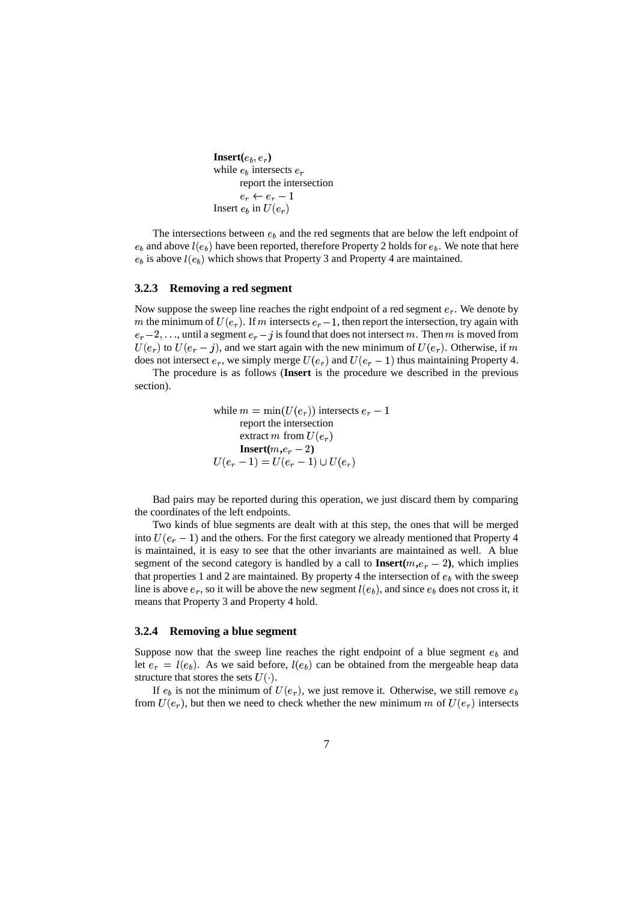```
Insert(e_b, e_r)while e_b intersects e_rreport the intersection
e_r \leftarrow e_r - 1Insert e_b in U(e_r)
```
The intersections between  $e<sub>b</sub>$  and the red segments that are below the left endpoint of  $e_b$  and above  $l(e_b)$  have been reported, therefore Property 2 holds for  $e_b$ . We note that here  $e_b$  is above  $l(e_b)$  which shows that Property 3 and Property 4 are maintained.

#### **3.2.3 Removing a red segment**

Now suppose the sweep line reaches the right endpoint of a red segment  $e_r$ . We denote by m the minimum of  $U(e_r)$ . If m intersects  $e_r - 1$ , then report the intersection, try again with  $e_r-2,\ldots$ , until a segment  $e_r-j$  is found that does not intersect m. Then m is moved from  $U(e_r)$  to  $U(e_r - j)$ , and we start again with the new minimum of  $U(e_r)$ . Otherwise, if does not intersect  $e_r$ , we simply merge  $U(e_r)$  and  $U(e_r - 1)$  thus maintaining Property 4.

The procedure is as follows (**Insert** is the procedure we described in the previous section).

> while  $m = \min(U(e_r))$  intersects  $e_r - 1$ report the intersection extract  $m$  from  $U(e_r)$  $\mathbf{Insert}(m, e_r - 2)$ - &% - &  &

Bad pairs may be reported during this operation, we just discard them by comparing the coordinates of the left endpoints.

Two kinds of blue segments are dealt with at this step, the ones that will be merged into  $U(e_r - 1)$  and the others. For the first category we already mentioned that Property 4 is maintained, it is easy to see that the other invariants are maintained as well. A blue segment of the second category is handled by a call to **Insert** $(m,e_r - 2)$ , which implies that properties 1 and 2 are maintained. By property 4 the intersection of  $e<sub>b</sub>$  with the sweep line is above  $e_r$ , so it will be above the new segment  $l(e_b)$ , and since  $e_b$  does not cross it, it means that Property 3 and Property 4 hold.

#### **3.2.4 Removing a blue segment**

Suppose now that the sweep line reaches the right endpoint of a blue segment  $e<sub>b</sub>$  and let  $e_r = l(e_b)$ . As we said before,  $l(e_b)$  can be obtained from the mergeable heap data structure that stores the sets  $U(\cdot)$ .

If  $e_b$  is not the minimum of  $U(e_r)$ , we just remove it. Otherwise, we still remove  $e_b$ from  $U(e_r)$ , but then we need to check whether the new minimum m of  $U(e_r)$  intersects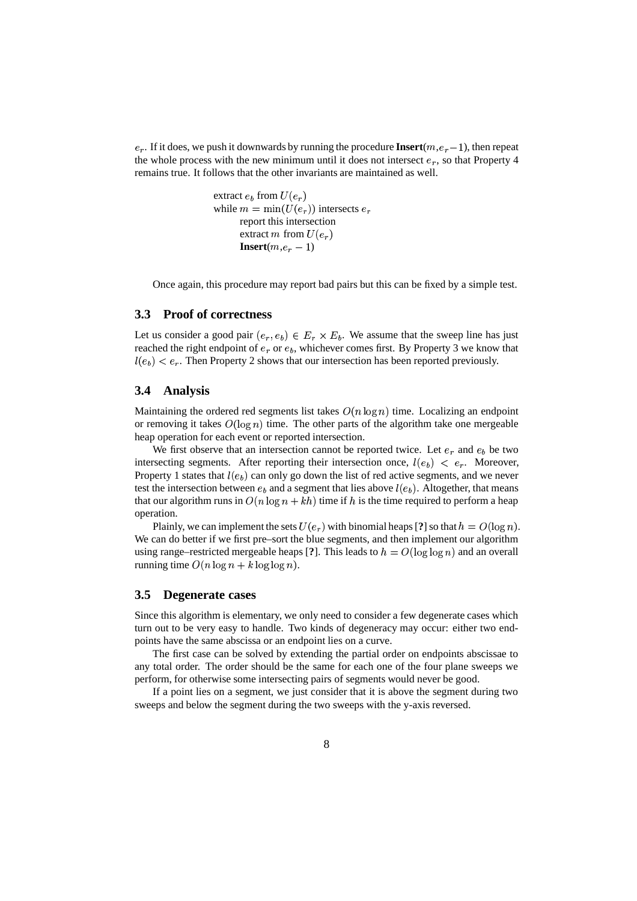$e_r$ . If it does, we push it downwards by running the procedure **Insert** $(m, e_r - 1)$ , then repeat the whole process with the new minimum until it does not intersect  $\epsilon_r$ , so that Property 4 remains true. It follows that the other invariants are maintained as well.

> extract  $e_k$  from  $U(e_n)$ while  $m = \min(U(e_r))$  intersects  $e_r$ report this intersection extract  $m$  from  $U(e_r)$  $\mathbf{Insert}(m, e_r -1)$

Once again, this procedure may report bad pairs but this can be fixed by a simple test.

#### **3.3 Proof of correctness**

Let us consider a good pair  $(e_r, e_b) \in E_r \times E_b$ . We assume that the sweep line has just reached the right endpoint of  $e_r$  or  $e_b$ , whichever comes first. By Property 3 we know that  $l(e_b) < e_r$ . Then Property 2 shows that our intersection has been reported previously.

#### **3.4 Analysis**

Maintaining the ordered red segments list takes  $O(n \log n)$  time. Localizing an endpoint or removing it takes  $O(\log n)$  time. The other parts of the algorithm take one mergeable heap operation for each event or reported intersection.

We first observe that an intersection cannot be reported twice. Let  $e_r$  and  $e_b$  be two intersecting segments. After reporting their intersection once,  $l(e_b) < e_r$ . Moreover, Property 1 states that  $l(e_b)$  can only go down the list of red active segments, and we never test the intersection between  $e_h$  and a segment that lies above  $l(e_h)$ . Altogether, that means that our algorithm runs in  $O(n \log n + kh)$  time if h is the time required to perform a heap operation.

Plainly, we can implement the sets  $U(e_r)$  with binomial heaps [?] so that  $h = O(\log n)$ . We can do better if we first pre–sort the blue segments, and then implement our algorithm using range–restricted mergeable heaps [?]. This leads to  $h = O(\log \log n)$  and an overall running time  $O(n \log n + k \log \log n)$ .

#### **3.5 Degenerate cases**

Since this algorithm is elementary, we only need to consider a few degenerate cases which turn out to be very easy to handle. Two kinds of degeneracy may occur: either two endpoints have the same abscissa or an endpoint lies on a curve.

The first case can be solved by extending the partial order on endpoints abscissae to any total order. The order should be the same for each one of the four plane sweeps we perform, for otherwise some intersecting pairs of segments would never be good.

If a point lies on a segment, we just consider that it is above the segment during two sweeps and below the segment during the two sweeps with the y-axis reversed.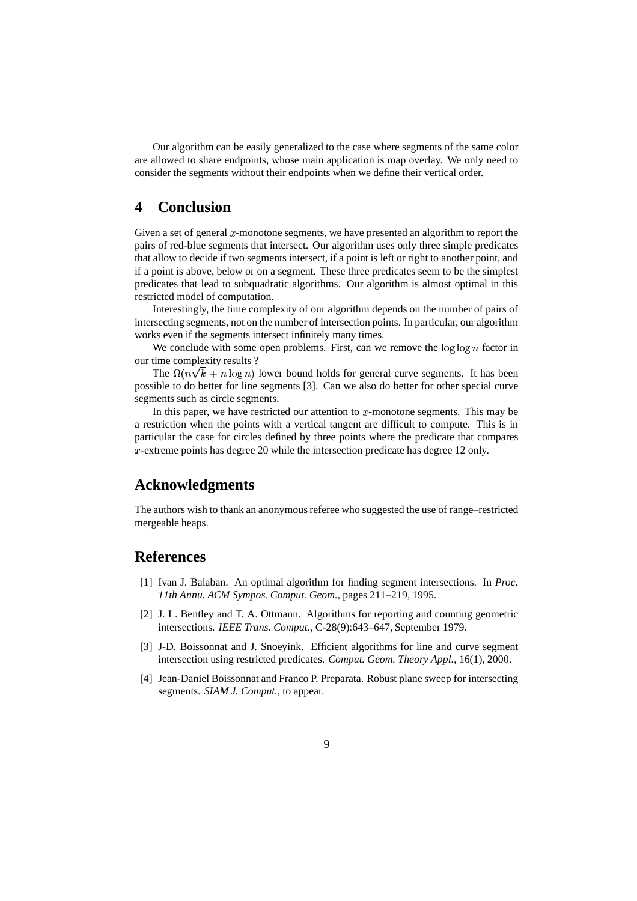Our algorithm can be easily generalized to the case where segments of the same color are allowed to share endpoints, whose main application is map overlay. We only need to consider the segments without their endpoints when we define their vertical order.

# **4 Conclusion**

Given a set of general  $x$ -monotone segments, we have presented an algorithm to report the pairs of red-blue segments that intersect. Our algorithm uses only three simple predicates that allow to decide if two segments intersect, if a point is left or right to another point, and if a point is above, below or on a segment. These three predicates seem to be the simplest predicates that lead to subquadratic algorithms. Our algorithm is almost optimal in this restricted model of computation.

Interestingly, the time complexity of our algorithm depends on the number of pairs of intersecting segments, not on the number of intersection points. In particular, our algorithm works even if the segments intersect infinitely many times.

We conclude with some open problems. First, can we remove the  $\log \log n$  factor in our time complexity results ?

The  $\Omega(n\sqrt{k} + n \log n)$  lower bound holds for general curve segments. It has been possible to do better for line segments [3]. Can we also do better for other special curve segments such as circle segments.

In this paper, we have restricted our attention to  $x$ -monotone segments. This may be a restriction when the points with a vertical tangent are difficult to compute. This is in particular the case for circles defined by three points where the predicate that compares -extreme points has degree 20 while the intersection predicate has degree 12 only.

# **Acknowledgments**

The authors wish to thank an anonymous referee who suggested the use of range–restricted mergeable heaps.

# **References**

- [1] Ivan J. Balaban. An optimal algorithm for finding segment intersections. In *Proc. 11th Annu. ACM Sympos. Comput. Geom.*, pages 211–219, 1995.
- [2] J. L. Bentley and T. A. Ottmann. Algorithms for reporting and counting geometric intersections. *IEEE Trans. Comput.*, C-28(9):643–647, September 1979.
- [3] J-D. Boissonnat and J. Snoeyink. Efficient algorithms for line and curve segment intersection using restricted predicates. *Comput. Geom. Theory Appl.*, 16(1), 2000.
- [4] Jean-Daniel Boissonnat and Franco P. Preparata. Robust plane sweep for intersecting segments. *SIAM J. Comput.*, to appear.